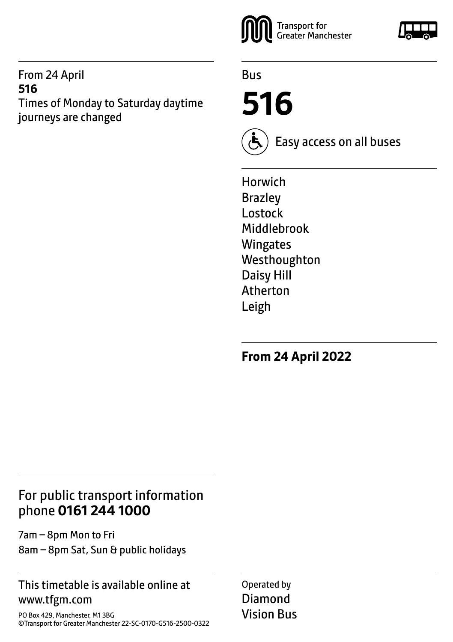#### From 24 April **516** Times of Monday to Saturday daytime journeys are changed



Bus

**516**



Easy access on all buses

Horwich Brazley Lostock Middlebrook **Wingates** Westhoughton Daisy Hill Atherton Leigh

**From 24 April 2022**

### For public transport information phone **0161 244 1000**

7am – 8pm Mon to Fri 8am – 8pm Sat, Sun & public holidays

#### This timetable is available online at www.tfgm.com

PO Box 429, Manchester, M1 3BG ©Transport for Greater Manchester 22-SC-0170-G516-2500-0322 Operated by Diamond Vision Bus

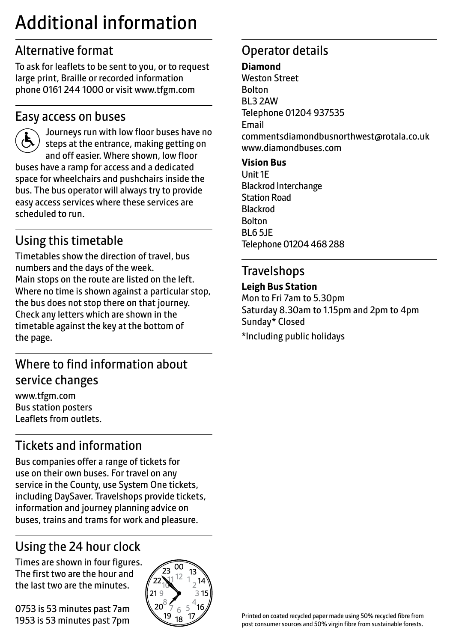# Additional information

# Alternative format

To ask for leaflets to be sent to you, or to request large print, Braille or recorded information phone 0161 244 1000 or visit www.tfgm.com

### Easy access on buses



 Journeys run with low floor buses have no steps at the entrance, making getting on and off easier. Where shown, low floor buses have a ramp for access and a dedicated space for wheelchairs and pushchairs inside the bus. The bus operator will always try to provide easy access services where these services are scheduled to run.

# Using this timetable

Timetables show the direction of travel, bus numbers and the days of the week. Main stops on the route are listed on the left. Where no time is shown against a particular stop, the bus does not stop there on that journey. Check any letters which are shown in the timetable against the key at the bottom of the page.

# Where to find information about service changes

www.tfgm.com Bus station posters Leaflets from outlets.

# Tickets and information

Bus companies offer a range of tickets for use on their own buses. For travel on any service in the County, use System One tickets, including DaySaver. Travelshops provide tickets, information and journey planning advice on buses, trains and trams for work and pleasure.

# Using the 24 hour clock

Times are shown in four figures. The first two are the hour and the last two are the minutes.

0753 is 53 minutes past 7am 1953 is 53 minutes past 7pm



# Operator details

#### **Diamond**

Weston Street Bolton BL3 2AW Telephone 01204 937535 Email commentsdiamondbusnorthwest@rotala.co.uk www.diamondbuses.com **Vision Bus**

Unit 1E Blackrod Interchange Station Road Blackrod Bolton

BL6 5JE Telephone 01204 468 288

### Travelshops

#### **Leigh Bus Station**

Mon to Fri 7am to 5.30pm Saturday 8.30am to 1.15pm and 2pm to 4pm Sunday\* Closed \*Including public holidays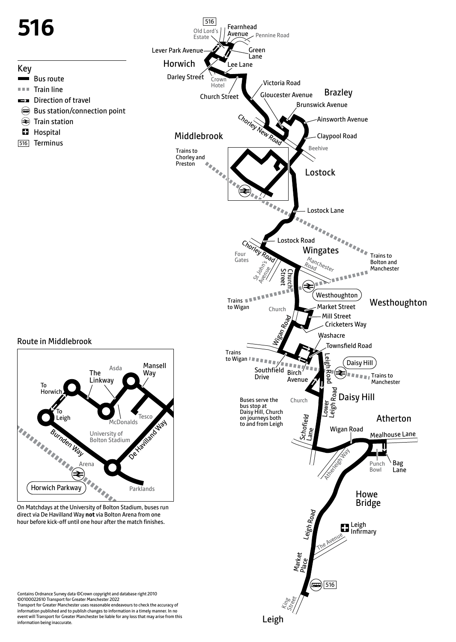

information being inaccurate.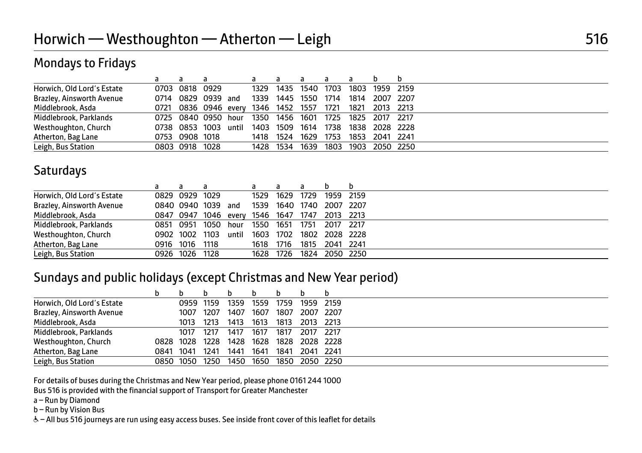### Mondays to Fridays

|                            | a              | a                                   |       | a    |                     | a    | a    |                |                |  |
|----------------------------|----------------|-------------------------------------|-------|------|---------------------|------|------|----------------|----------------|--|
| Horwich, Old Lord's Estate | 0703 0818 0929 |                                     |       |      | 1329 1435 1540 1703 |      |      |                | 1803 1959 2159 |  |
| Brazley, Ainsworth Avenue  |                | 0714 0829 0939                      | and   |      | 1339 1445 1550      |      | 1714 | 1814           | 2007 2207      |  |
| Middlebrook, Asda          |                | 0721 0836 0946 every 1346 1452 1557 |       |      |                     |      | 1721 | 1821           | 2013 2213      |  |
| Middlebrook, Parklands     |                | 0725 0840 0950 hour                 |       | 1350 | 1456                | 1601 | 1725 | 1825 2017 2217 |                |  |
| Westhoughton, Church       |                | 0738 0853 1003                      | until |      | 1403 1509           | 1614 | 1738 |                | 1838 2028 2228 |  |
| Atherton, Bag Lane         | 0753 0908 1018 |                                     |       |      | 1418 1524           | 1629 | 1753 |                | 1853 2041 2241 |  |
| Leigh, Bus Station         | 0803 0918 1028 |                                     |       |      | 1428 1534           | 1639 | 1803 |                | 1903 2050 2250 |  |

### **Saturdays**

|  | a                      |                                                  |                                              | a                    |                                   |                        |                                       |
|--|------------------------|--------------------------------------------------|----------------------------------------------|----------------------|-----------------------------------|------------------------|---------------------------------------|
|  |                        |                                                  |                                              |                      |                                   |                        | 1959 2159                             |
|  |                        |                                                  | 1539                                         |                      |                                   |                        |                                       |
|  |                        |                                                  |                                              |                      |                                   |                        | 2013 2213                             |
|  |                        |                                                  | 1550                                         |                      | 1751                              |                        | 2017 2217                             |
|  |                        | until                                            | 1603                                         |                      |                                   |                        |                                       |
|  |                        |                                                  | 1618                                         | 1716                 | 1815                              | 2041                   | 2241                                  |
|  |                        |                                                  | 1628                                         |                      | 1824                              |                        | 2050 2250                             |
|  | 0851 0951<br>0916 1016 | 0829 0929 1029<br>1050<br>1118<br>0926 1026 1128 | 0840 0940 1039 and<br>hour<br>0902 1002 1103 | 0847 0947 1046 every | 1529 1629<br>1651<br>1702<br>1726 | 1729<br>1546 1647 1747 | 1640 1740 2007 2207<br>1802 2028 2228 |

#### Sundays and public holidays (except Christmas and New Year period)

|                            |           |           |      |      |      |      |           | b         |
|----------------------------|-----------|-----------|------|------|------|------|-----------|-----------|
| Horwich, Old Lord's Estate |           | 0959 1159 |      | 1359 | 1559 | 1759 |           | 1959 2159 |
| Brazley, Ainsworth Avenue  |           | 1007      | 1207 | 1407 | 1607 | 1807 |           | 2007 2207 |
| Middlebrook, Asda          |           | 1013      | 1213 | 1413 | 1613 | 1813 | 2013 2213 |           |
| Middlebrook, Parklands     |           | 1017      | 1217 | 1417 | 1617 | 1817 | 2017 2217 |           |
| Westhoughton, Church       |           | 0828 1028 | 1228 | 1428 | 1628 | 1828 |           | 2028 2228 |
| Atherton, Bag Lane         | 0841      | 1041      | 1241 | 1441 | 1641 | 1841 | 2041 2241 |           |
| Leigh, Bus Station         | 0850 1050 |           | 1250 | 1450 | 1650 | 1850 |           | 2050 2250 |

For details of buses during the Christmas and New Year period, please phone 0161 244 1000

Bus 516 is provided with the financial support of Transport for Greater Manchester

a – Run by Diamond

b – Run by Vision Bus

& - All bus 516 journeys are run using easy access buses. See inside front cover of this leaflet for details